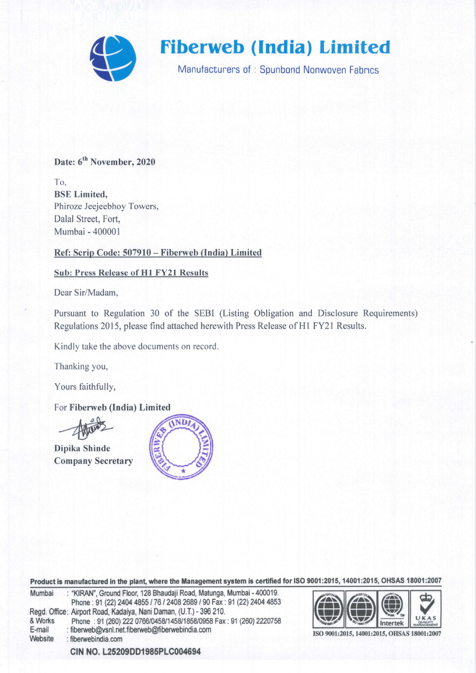

# Date: 6<sup>th</sup> November, 2020

To. BSE Limited, Phiroze Jeejeebhoy Towers, Dalal Street, Fort, Mumbai - 400001

### Ref: Scrip Code: 507910 - Fiberweb (India) Limited

### Sub: Press Release of Hl FY2l Results

Dear Sir/Madam,

Pursuant to Regulation 30 of the SEBI (Listing Obligation and Disclosure Requirements) Regulations 2015, please find attached herewith Press Release of H1 FY21 Results.

Kindly take the above documents on record.

Thanking you,

Yours faithfully,

For Fiberweb (India) Limited

Dipika Shinde Company Secretary



Product is manufactured in the plant, where the Management system is certified for ISO 9001:2015, 14001:2015, OHSAS 18001:2007

| Mumbai  | : "KIRAN", Ground Floor, 128 Bhaudaji Road, Matunga, Mumbai - 400019. |
|---------|-----------------------------------------------------------------------|
|         | Phone: 91 (22) 2404 4855 / 76 / 2408 2689 / 90 Fax: 91 (22) 2404 4853 |
|         | Regd. Office: Airport Road, Kadaiya, Nani Daman, (U.T.) - 396 210.    |
| & Works | Phone: 91 (260) 222 0766/0458/1458/1858/0958 Fax: 91 (260) 2220758    |
| E-mail  | : fiberweb@ysnl.net.fiberweb@fiberwebindia.com                        |
| Website | : fiberwebindia.com                                                   |
|         |                                                                       |



ISO 9001:2015, 14001:2015, OHSAS 18001:2007

CIN NO. L25209DD1985PLC004694